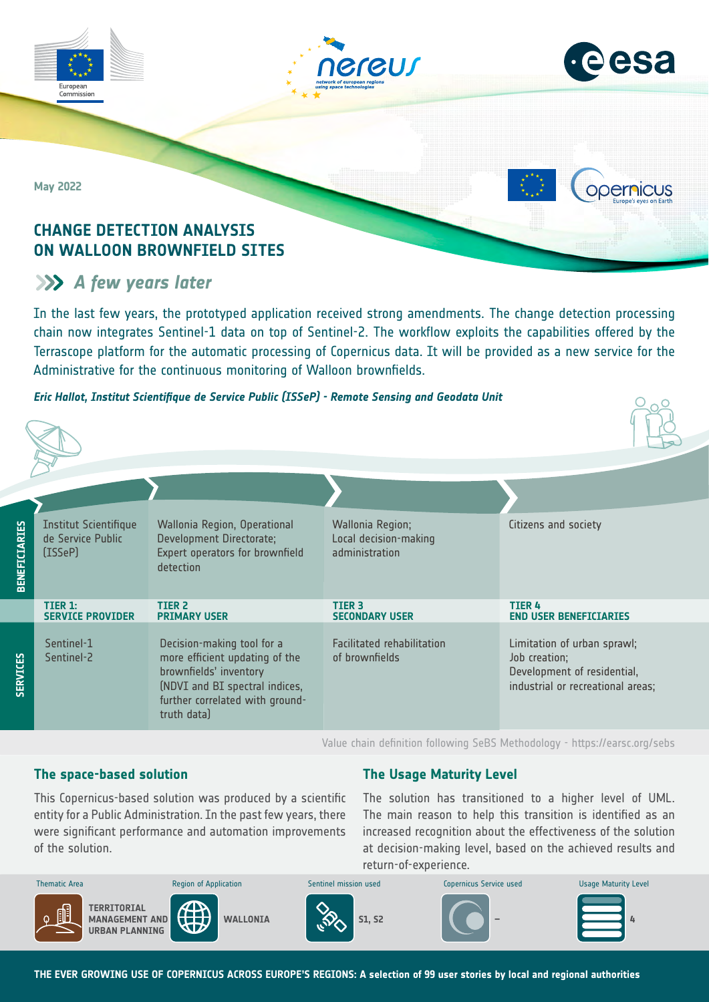



**ODErnicus** 

 $O_0$ 

**May 2022**

# **CHANGE DETECTION ANALYSIS ON WALLOON BROWNFIELD SITES**

# **A** *few years later*

In the last few years, the prototyped application received strong amendments. The change detection processing chain now integrates Sentinel-1 data on top of Sentinel-2. The workflow exploits the capabilities offered by the Terrascope platform for the automatic processing of Copernicus data. It will be provided as a new service for the Administrative for the continuous monitoring of Walloon brownfields.

#### *Eric Hallot, Institut Scientifique de Service Public (ISSeP) - Remote Sensing and Geodata Unit*

| <b>BENEFICIARIES</b> | <b>Institut Scientifique</b><br>de Service Public<br>(ISSeP) | Wallonia Region, Operational<br>Development Directorate;<br>Expert operators for brownfield<br>detection                                                                   | Wallonia Region;<br>Local decision-making<br>administration | Citizens and society                                                                                             |
|----------------------|--------------------------------------------------------------|----------------------------------------------------------------------------------------------------------------------------------------------------------------------------|-------------------------------------------------------------|------------------------------------------------------------------------------------------------------------------|
|                      | TIER 1:<br><b>SERVICE PROVIDER</b>                           | TIER <sub>2</sub><br><b>PRIMARY USER</b>                                                                                                                                   | <b>TIER 3</b><br><b>SECONDARY USER</b>                      | <b>TIER4</b><br><b>END USER BENEFICIARIES</b>                                                                    |
| <b>SERVICES</b>      | Sentinel-1<br>Sentinel-2                                     | Decision-making tool for a<br>more efficient updating of the<br>brownfields' inventory<br>(NDVI and BI spectral indices,<br>further correlated with ground-<br>truth data) | <b>Facilitated rehabilitation</b><br>of brownfields         | Limitation of urban sprawl;<br>Job creation;<br>Development of residential,<br>industrial or recreational areas; |

Value chain definition following SeBS Methodology -<https://earsc.org/sebs>

### **The space-based solution**

**The Usage Maturity Level**

were significant performance and automation improvements of the solution. This Copernicus-based solution was produced by a scientific entity for a Public Administration. In the past few years, there

The solution has transitioned to a higher level of UML. The main reason to help this transition is identified as an increased recognition about the effectiveness of the solution at decision-making level, based on the achieved results and return-of-experience.

| <b>Thematic Area</b>                                             | <b>Region of Application</b> | Sentinel mission used | Copernicus Service used  | <b>Usage Maturity Level</b> |
|------------------------------------------------------------------|------------------------------|-----------------------|--------------------------|-----------------------------|
| 1<br>TERRITORIAL<br>MANAGEMENT AND<br>۵<br><b>URBAN PLANNING</b> | <b>WALLONIA</b>              | <b>S1. S2</b>         | $\overline{\phantom{a}}$ |                             |

**THE EVER GROWING USE OF COPERNICUS ACROSS EUROPE'S REGIONS: A selection of 99 user stories by local and regional authorities**